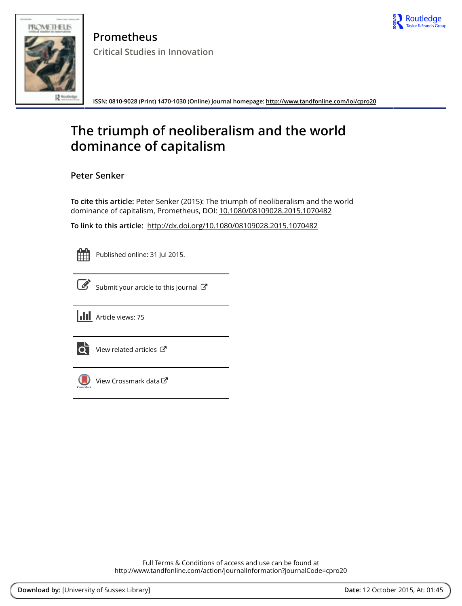



**Prometheus Critical Studies in Innovation**

**ISSN: 0810-9028 (Print) 1470-1030 (Online) Journal homepage:<http://www.tandfonline.com/loi/cpro20>**

# **The triumph of neoliberalism and the world dominance of capitalism**

**Peter Senker**

**To cite this article:** Peter Senker (2015): The triumph of neoliberalism and the world dominance of capitalism, Prometheus, DOI: [10.1080/08109028.2015.1070482](http://www.tandfonline.com/action/showCitFormats?doi=10.1080/08109028.2015.1070482)

**To link to this article:** <http://dx.doi.org/10.1080/08109028.2015.1070482>

Published online: 31 Jul 2015.

[Submit your article to this journal](http://www.tandfonline.com/action/authorSubmission?journalCode=cpro20&page=instructions)  $\mathbb{Z}$ 

**Article views: 75** 



 $\overline{\mathbf{C}}$  [View related articles](http://www.tandfonline.com/doi/mlt/10.1080/08109028.2015.1070482)  $\mathbf{C}$ 



[View Crossmark data](http://crossmark.crossref.org/dialog/?doi=10.1080/08109028.2015.1070482&domain=pdf&date_stamp=2015-07-31)

Full Terms & Conditions of access and use can be found at <http://www.tandfonline.com/action/journalInformation?journalCode=cpro20>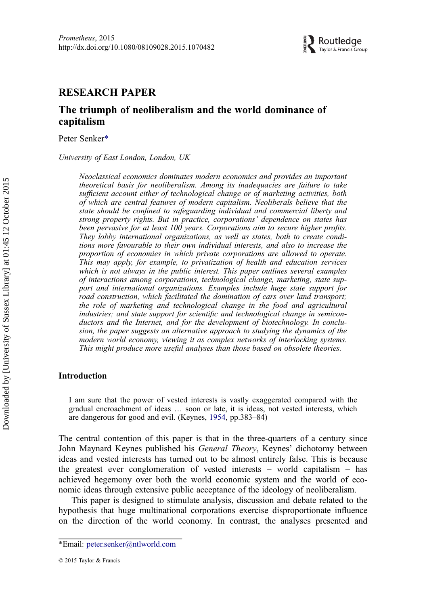## RESEARCH PAPER

## The triumph of neoliberalism and the world dominance of capitalism

Peter Senker\*

University of East London, London, UK

Neoclassical economics dominates modern economics and provides an important theoretical basis for neoliberalism. Among its inadequacies are failure to take sufficient account either of technological change or of marketing activities, both of which are central features of modern capitalism. Neoliberals believe that the state should be confined to safeguarding individual and commercial liberty and strong property rights. But in practice, corporations' dependence on states has been pervasive for at least 100 years. Corporations aim to secure higher profits. They lobby international organizations, as well as states, both to create conditions more favourable to their own individual interests, and also to increase the proportion of economies in which private corporations are allowed to operate. This may apply, for example, to privatization of health and education services which is not always in the public interest. This paper outlines several examples of interactions among corporations, technological change, marketing, state support and international organizations. Examples include huge state support for road construction, which facilitated the domination of cars over land transport; the role of marketing and technological change in the food and agricultural industries; and state support for scientific and technological change in semiconductors and the Internet, and for the development of biotechnology. In conclusion, the paper suggests an alternative approach to studying the dynamics of the modern world economy, viewing it as complex networks of interlocking systems. This might produce more useful analyses than those based on obsolete theories.

### Introduction

I am sure that the power of vested interests is vastly exaggerated compared with the gradual encroachment of ideas … soon or late, it is ideas, not vested interests, which are dangerous for good and evil. (Keynes, [1954,](#page-14-0) pp.383–84)

The central contention of this paper is that in the three-quarters of a century since John Maynard Keynes published his General Theory, Keynes' dichotomy between ideas and vested interests has turned out to be almost entirely false. This is because the greatest ever conglomeration of vested interests – world capitalism – has achieved hegemony over both the world economic system and the world of economic ideas through extensive public acceptance of the ideology of neoliberalism.

This paper is designed to stimulate analysis, discussion and debate related to the hypothesis that huge multinational corporations exercise disproportionate influence on the direction of the world economy. In contrast, the analyses presented and

<sup>\*</sup>Email: [peter.senker@ntlworld.com](mailto:peter.senker@ntlworld.com)

<sup>© 2015</sup> Taylor & Francis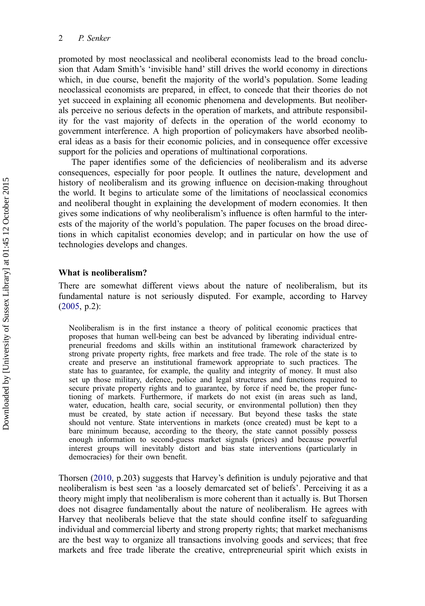promoted by most neoclassical and neoliberal economists lead to the broad conclusion that Adam Smith's 'invisible hand' still drives the world economy in directions which, in due course, benefit the majority of the world's population. Some leading neoclassical economists are prepared, in effect, to concede that their theories do not yet succeed in explaining all economic phenomena and developments. But neoliberals perceive no serious defects in the operation of markets, and attribute responsibility for the vast majority of defects in the operation of the world economy to government interference. A high proportion of policymakers have absorbed neoliberal ideas as a basis for their economic policies, and in consequence offer excessive support for the policies and operations of multinational corporations.

The paper identifies some of the deficiencies of neoliberalism and its adverse consequences, especially for poor people. It outlines the nature, development and history of neoliberalism and its growing influence on decision-making throughout the world. It begins to articulate some of the limitations of neoclassical economics and neoliberal thought in explaining the development of modern economies. It then gives some indications of why neoliberalism's influence is often harmful to the interests of the majority of the world's population. The paper focuses on the broad directions in which capitalist economies develop; and in particular on how the use of technologies develops and changes.

#### What is neoliberalism?

There are somewhat different views about the nature of neoliberalism, but its fundamental nature is not seriously disputed. For example, according to Harvey [\(2005](#page-14-0), p.2):

Neoliberalism is in the first instance a theory of political economic practices that proposes that human well-being can best be advanced by liberating individual entrepreneurial freedoms and skills within an institutional framework characterized by strong private property rights, free markets and free trade. The role of the state is to create and preserve an institutional framework appropriate to such practices. The state has to guarantee, for example, the quality and integrity of money. It must also set up those military, defence, police and legal structures and functions required to secure private property rights and to guarantee, by force if need be, the proper functioning of markets. Furthermore, if markets do not exist (in areas such as land, water, education, health care, social security, or environmental pollution) then they must be created, by state action if necessary. But beyond these tasks the state should not venture. State interventions in markets (once created) must be kept to a bare minimum because, according to the theory, the state cannot possibly possess enough information to second-guess market signals (prices) and because powerful interest groups will inevitably distort and bias state interventions (particularly in democracies) for their own benefit.

Thorsen ([2010](#page-15-0), p.203) suggests that Harvey's definition is unduly pejorative and that neoliberalism is best seen 'as a loosely demarcated set of beliefs'. Perceiving it as a theory might imply that neoliberalism is more coherent than it actually is. But Thorsen does not disagree fundamentally about the nature of neoliberalism. He agrees with Harvey that neoliberals believe that the state should confine itself to safeguarding individual and commercial liberty and strong property rights; that market mechanisms are the best way to organize all transactions involving goods and services; that free markets and free trade liberate the creative, entrepreneurial spirit which exists in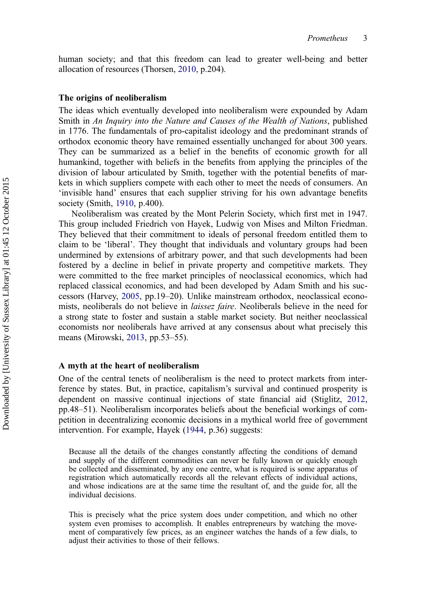human society; and that this freedom can lead to greater well-being and better allocation of resources (Thorsen, [2010,](#page-15-0) p.204).

#### The origins of neoliberalism

The ideas which eventually developed into neoliberalism were expounded by Adam Smith in An Inquiry into the Nature and Causes of the Wealth of Nations, published in 1776. The fundamentals of pro-capitalist ideology and the predominant strands of orthodox economic theory have remained essentially unchanged for about 300 years. They can be summarized as a belief in the benefits of economic growth for all humankind, together with beliefs in the benefits from applying the principles of the division of labour articulated by Smith, together with the potential benefits of markets in which suppliers compete with each other to meet the needs of consumers. An 'invisible hand' ensures that each supplier striving for his own advantage benefits society (Smith, [1910](#page-15-0), p.400).

Neoliberalism was created by the Mont Pelerin Society, which first met in 1947. This group included Friedrich von Hayek, Ludwig von Mises and Milton Friedman. They believed that their commitment to ideals of personal freedom entitled them to claim to be 'liberal'. They thought that individuals and voluntary groups had been undermined by extensions of arbitrary power, and that such developments had been fostered by a decline in belief in private property and competitive markets. They were committed to the free market principles of neoclassical economics, which had replaced classical economics, and had been developed by Adam Smith and his successors (Harvey, [2005](#page-14-0), pp.19–20). Unlike mainstream orthodox, neoclassical economists, neoliberals do not believe in *laissez faire*. Neoliberals believe in the need for a strong state to foster and sustain a stable market society. But neither neoclassical economists nor neoliberals have arrived at any consensus about what precisely this means (Mirowski, [2013,](#page-14-0) pp.53–55).

#### A myth at the heart of neoliberalism

One of the central tenets of neoliberalism is the need to protect markets from interference by states. But, in practice, capitalism's survival and continued prosperity is dependent on massive continual injections of state financial aid (Stiglitz, [2012](#page-15-0), pp.48–51). Neoliberalism incorporates beliefs about the beneficial workings of competition in decentralizing economic decisions in a mythical world free of government intervention. For example, Hayek ([1944,](#page-14-0) p.36) suggests:

Because all the details of the changes constantly affecting the conditions of demand and supply of the different commodities can never be fully known or quickly enough be collected and disseminated, by any one centre, what is required is some apparatus of registration which automatically records all the relevant effects of individual actions, and whose indications are at the same time the resultant of, and the guide for, all the individual decisions.

This is precisely what the price system does under competition, and which no other system even promises to accomplish. It enables entrepreneurs by watching the movement of comparatively few prices, as an engineer watches the hands of a few dials, to adjust their activities to those of their fellows.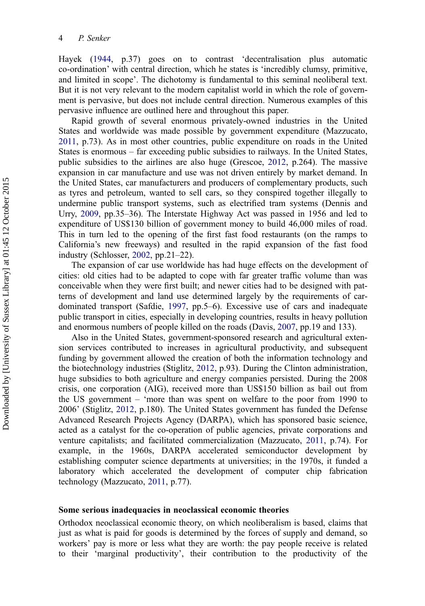Hayek [\(1944,](#page-14-0) p.37) goes on to contrast 'decentralisation plus automatic co-ordination' with central direction, which he states is 'incredibly clumsy, primitive, and limited in scope'. The dichotomy is fundamental to this seminal neoliberal text. But it is not very relevant to the modern capitalist world in which the role of government is pervasive, but does not include central direction. Numerous examples of this pervasive influence are outlined here and throughout this paper.

Rapid growth of several enormous privately-owned industries in the United States and worldwide was made possible by government expenditure (Mazzucato, [2011,](#page-14-0) p.73). As in most other countries, public expenditure on roads in the United States is enormous – far exceeding public subsidies to railways. In the United States, public subsidies to the airlines are also huge (Grescoe, [2012](#page-14-0), p.264). The massive expansion in car manufacture and use was not driven entirely by market demand. In the United States, car manufacturers and producers of complementary products, such as tyres and petroleum, wanted to sell cars, so they conspired together illegally to undermine public transport systems, such as electrified tram systems (Dennis and Urry, [2009](#page-14-0), pp.35–36). The Interstate Highway Act was passed in 1956 and led to expenditure of US\$130 billion of government money to build 46,000 miles of road. This in turn led to the opening of the first fast food restaurants (on the ramps to California's new freeways) and resulted in the rapid expansion of the fast food industry (Schlosser, [2002](#page-15-0), pp.21–22).

The expansion of car use worldwide has had huge effects on the development of cities: old cities had to be adapted to cope with far greater traffic volume than was conceivable when they were first built; and newer cities had to be designed with patterns of development and land use determined largely by the requirements of cardominated transport (Safdie, [1997,](#page-15-0) pp.5–6). Excessive use of cars and inadequate public transport in cities, especially in developing countries, results in heavy pollution and enormous numbers of people killed on the roads (Davis, [2007](#page-14-0), pp.19 and 133).

Also in the United States, government-sponsored research and agricultural extension services contributed to increases in agricultural productivity, and subsequent funding by government allowed the creation of both the information technology and the biotechnology industries (Stiglitz, [2012](#page-15-0), p.93). During the Clinton administration, huge subsidies to both agriculture and energy companies persisted. During the 2008 crisis, one corporation (AIG), received more than US\$150 billion as bail out from the US government – 'more than was spent on welfare to the poor from 1990 to 2006' (Stiglitz, [2012,](#page-15-0) p.180). The United States government has funded the Defense Advanced Research Projects Agency (DARPA), which has sponsored basic science, acted as a catalyst for the co-operation of public agencies, private corporations and venture capitalists; and facilitated commercialization (Mazzucato, [2011,](#page-14-0) p.74). For example, in the 1960s, DARPA accelerated semiconductor development by establishing computer science departments at universities; in the 1970s, it funded a laboratory which accelerated the development of computer chip fabrication technology (Mazzucato, [2011](#page-14-0), p.77).

#### Some serious inadequacies in neoclassical economic theories

Orthodox neoclassical economic theory, on which neoliberalism is based, claims that just as what is paid for goods is determined by the forces of supply and demand, so workers' pay is more or less what they are worth: the pay people receive is related to their 'marginal productivity', their contribution to the productivity of the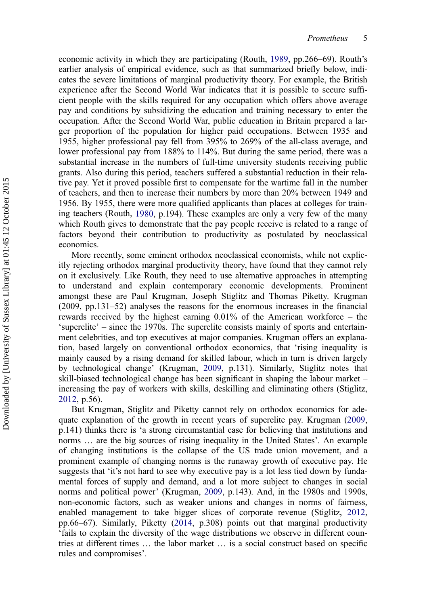economic activity in which they are participating (Routh, [1989,](#page-15-0) pp.266–69). Routh's earlier analysis of empirical evidence, such as that summarized briefly below, indicates the severe limitations of marginal productivity theory. For example, the British experience after the Second World War indicates that it is possible to secure sufficient people with the skills required for any occupation which offers above average pay and conditions by subsidizing the education and training necessary to enter the occupation. After the Second World War, public education in Britain prepared a larger proportion of the population for higher paid occupations. Between 1935 and 1955, higher professional pay fell from 395% to 269% of the all-class average, and lower professional pay from 188% to 114%. But during the same period, there was a substantial increase in the numbers of full-time university students receiving public grants. Also during this period, teachers suffered a substantial reduction in their relative pay. Yet it proved possible first to compensate for the wartime fall in the number of teachers, and then to increase their numbers by more than 20% between 1949 and 1956. By 1955, there were more qualified applicants than places at colleges for training teachers (Routh, [1980](#page-15-0), p.194). These examples are only a very few of the many which Routh gives to demonstrate that the pay people receive is related to a range of factors beyond their contribution to productivity as postulated by neoclassical economics.

More recently, some eminent orthodox neoclassical economists, while not explicitly rejecting orthodox marginal productivity theory, have found that they cannot rely on it exclusively. Like Routh, they need to use alternative approaches in attempting to understand and explain contemporary economic developments. Prominent amongst these are Paul Krugman, Joseph Stiglitz and Thomas Piketty. Krugman (2009, pp.131–52) analyses the reasons for the enormous increases in the financial rewards received by the highest earning 0.01% of the American workforce – the 'superelite' – since the 1970s. The superelite consists mainly of sports and entertainment celebrities, and top executives at major companies. Krugman offers an explanation, based largely on conventional orthodox economics, that 'rising inequality is mainly caused by a rising demand for skilled labour, which in turn is driven largely by technological change' (Krugman, [2009](#page-14-0), p.131). Similarly, Stiglitz notes that skill-biased technological change has been significant in shaping the labour market – increasing the pay of workers with skills, deskilling and eliminating others (Stiglitz, [2012,](#page-15-0) p.56).

But Krugman, Stiglitz and Piketty cannot rely on orthodox economics for adequate explanation of the growth in recent years of superelite pay. Krugman [\(2009](#page-14-0), p.141) thinks there is 'a strong circumstantial case for believing that institutions and norms … are the big sources of rising inequality in the United States'. An example of changing institutions is the collapse of the US trade union movement, and a prominent example of changing norms is the runaway growth of executive pay. He suggests that 'it's not hard to see why executive pay is a lot less tied down by fundamental forces of supply and demand, and a lot more subject to changes in social norms and political power' (Krugman, [2009](#page-14-0), p.143). And, in the 1980s and 1990s, non-economic factors, such as weaker unions and changes in norms of fairness, enabled management to take bigger slices of corporate revenue (Stiglitz, [2012](#page-15-0), pp.66–67). Similarly, Piketty [\(2014](#page-15-0), p.308) points out that marginal productivity 'fails to explain the diversity of the wage distributions we observe in different countries at different times … the labor market … is a social construct based on specific rules and compromises'.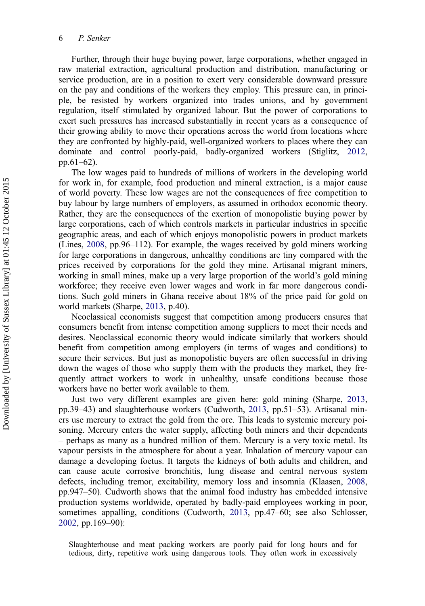Further, through their huge buying power, large corporations, whether engaged in raw material extraction, agricultural production and distribution, manufacturing or service production, are in a position to exert very considerable downward pressure on the pay and conditions of the workers they employ. This pressure can, in principle, be resisted by workers organized into trades unions, and by government regulation, itself stimulated by organized labour. But the power of corporations to exert such pressures has increased substantially in recent years as a consequence of their growing ability to move their operations across the world from locations where they are confronted by highly-paid, well-organized workers to places where they can dominate and control poorly-paid, badly-organized workers (Stiglitz, [2012](#page-15-0), pp.61–62).

The low wages paid to hundreds of millions of workers in the developing world for work in, for example, food production and mineral extraction, is a major cause of world poverty. These low wages are not the consequences of free competition to buy labour by large numbers of employers, as assumed in orthodox economic theory. Rather, they are the consequences of the exertion of monopolistic buying power by large corporations, each of which controls markets in particular industries in specific geographic areas, and each of which enjoys monopolistic powers in product markets (Lines, [2008](#page-14-0), pp.96–112). For example, the wages received by gold miners working for large corporations in dangerous, unhealthy conditions are tiny compared with the prices received by corporations for the gold they mine. Artisanal migrant miners, working in small mines, make up a very large proportion of the world's gold mining workforce; they receive even lower wages and work in far more dangerous conditions. Such gold miners in Ghana receive about 18% of the price paid for gold on world markets (Sharpe, [2013,](#page-15-0) p.40).

Neoclassical economists suggest that competition among producers ensures that consumers benefit from intense competition among suppliers to meet their needs and desires. Neoclassical economic theory would indicate similarly that workers should benefit from competition among employers (in terms of wages and conditions) to secure their services. But just as monopolistic buyers are often successful in driving down the wages of those who supply them with the products they market, they frequently attract workers to work in unhealthy, unsafe conditions because those workers have no better work available to them.

Just two very different examples are given here: gold mining (Sharpe, [2013](#page-15-0), pp.39–43) and slaughterhouse workers (Cudworth, [2013,](#page-14-0) pp.51–53). Artisanal miners use mercury to extract the gold from the ore. This leads to systemic mercury poisoning. Mercury enters the water supply, affecting both miners and their dependents – perhaps as many as a hundred million of them. Mercury is a very toxic metal. Its vapour persists in the atmosphere for about a year. Inhalation of mercury vapour can damage a developing foetus. It targets the kidneys of both adults and children, and can cause acute corrosive bronchitis, lung disease and central nervous system defects, including tremor, excitability, memory loss and insomnia (Klaasen, [2008](#page-14-0), pp.947–50). Cudworth shows that the animal food industry has embedded intensive production systems worldwide, operated by badly-paid employees working in poor, sometimes appalling, conditions (Cudworth, [2013,](#page-14-0) pp.47–60; see also Schlosser, [2002,](#page-15-0) pp.169–90):

Slaughterhouse and meat packing workers are poorly paid for long hours and for tedious, dirty, repetitive work using dangerous tools. They often work in excessively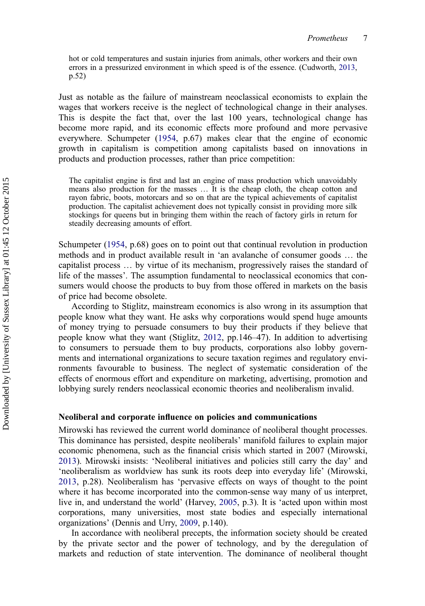hot or cold temperatures and sustain injuries from animals, other workers and their own errors in a pressurized environment in which speed is of the essence. (Cudworth, [2013](#page-14-0), p.52)

Just as notable as the failure of mainstream neoclassical economists to explain the wages that workers receive is the neglect of technological change in their analyses. This is despite the fact that, over the last 100 years, technological change has become more rapid, and its economic effects more profound and more pervasive everywhere. Schumpeter [\(1954](#page-15-0), p.67) makes clear that the engine of economic growth in capitalism is competition among capitalists based on innovations in products and production processes, rather than price competition:

The capitalist engine is first and last an engine of mass production which unavoidably means also production for the masses … It is the cheap cloth, the cheap cotton and rayon fabric, boots, motorcars and so on that are the typical achievements of capitalist production. The capitalist achievement does not typically consist in providing more silk stockings for queens but in bringing them within the reach of factory girls in return for steadily decreasing amounts of effort.

Schumpeter [\(1954,](#page-15-0) p.68) goes on to point out that continual revolution in production methods and in product available result in 'an avalanche of consumer goods … the capitalist process … by virtue of its mechanism, progressively raises the standard of life of the masses'. The assumption fundamental to neoclassical economics that consumers would choose the products to buy from those offered in markets on the basis of price had become obsolete.

According to Stiglitz, mainstream economics is also wrong in its assumption that people know what they want. He asks why corporations would spend huge amounts of money trying to persuade consumers to buy their products if they believe that people know what they want (Stiglitz, [2012](#page-15-0), pp.146–47). In addition to advertising to consumers to persuade them to buy products, corporations also lobby governments and international organizations to secure taxation regimes and regulatory environments favourable to business. The neglect of systematic consideration of the effects of enormous effort and expenditure on marketing, advertising, promotion and lobbying surely renders neoclassical economic theories and neoliberalism invalid.

#### Neoliberal and corporate influence on policies and communications

Mirowski has reviewed the current world dominance of neoliberal thought processes. This dominance has persisted, despite neoliberals' manifold failures to explain major economic phenomena, such as the financial crisis which started in 2007 (Mirowski, [2013\)](#page-14-0). Mirowski insists: 'Neoliberal initiatives and policies still carry the day' and 'neoliberalism as worldview has sunk its roots deep into everyday life' (Mirowski, [2013,](#page-14-0) p.28). Neoliberalism has 'pervasive effects on ways of thought to the point where it has become incorporated into the common-sense way many of us interpret, live in, and understand the world' (Harvey, [2005](#page-14-0), p.3). It is 'acted upon within most corporations, many universities, most state bodies and especially international organizations' (Dennis and Urry, [2009,](#page-14-0) p.140).

In accordance with neoliberal precepts, the information society should be created by the private sector and the power of technology, and by the deregulation of markets and reduction of state intervention. The dominance of neoliberal thought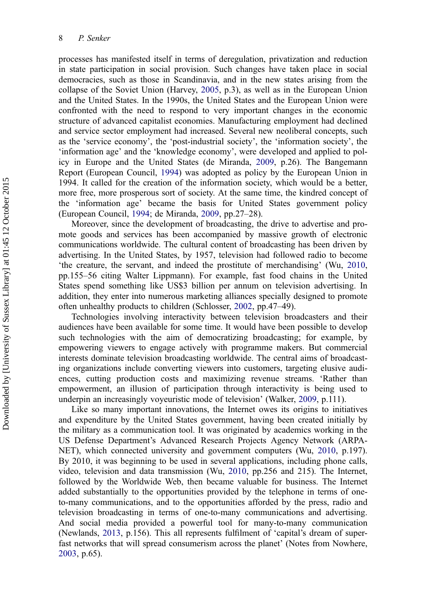processes has manifested itself in terms of deregulation, privatization and reduction in state participation in social provision. Such changes have taken place in social democracies, such as those in Scandinavia, and in the new states arising from the collapse of the Soviet Union (Harvey, [2005](#page-14-0), p.3), as well as in the European Union and the United States. In the 1990s, the United States and the European Union were confronted with the need to respond to very important changes in the economic structure of advanced capitalist economies. Manufacturing employment had declined and service sector employment had increased. Several new neoliberal concepts, such as the 'service economy', the 'post-industrial society', the 'information society', the 'information age' and the 'knowledge economy', were developed and applied to policy in Europe and the United States (de Miranda, [2009](#page-14-0), p.26). The Bangemann Report (European Council, [1994](#page-14-0)) was adopted as policy by the European Union in 1994. It called for the creation of the information society, which would be a better, more free, more prosperous sort of society. At the same time, the kindred concept of the 'information age' became the basis for United States government policy (European Council, [1994;](#page-14-0) de Miranda, [2009](#page-14-0), pp.27–28).

Moreover, since the development of broadcasting, the drive to advertise and promote goods and services has been accompanied by massive growth of electronic communications worldwide. The cultural content of broadcasting has been driven by advertising. In the United States, by 1957, television had followed radio to become 'the creature, the servant, and indeed the prostitute of merchandising' (Wu, [2010](#page-15-0), pp.155–56 citing Walter Lippmann). For example, fast food chains in the United States spend something like US\$3 billion per annum on television advertising. In addition, they enter into numerous marketing alliances specially designed to promote often unhealthy products to children (Schlosser, [2002,](#page-15-0) pp.47–49).

Technologies involving interactivity between television broadcasters and their audiences have been available for some time. It would have been possible to develop such technologies with the aim of democratizing broadcasting; for example, by empowering viewers to engage actively with programme makers. But commercial interests dominate television broadcasting worldwide. The central aims of broadcasting organizations include converting viewers into customers, targeting elusive audiences, cutting production costs and maximizing revenue streams. 'Rather than empowerment, an illusion of participation through interactivity is being used to underpin an increasingly voyeuristic mode of television' (Walker, [2009,](#page-15-0) p.111).

Like so many important innovations, the Internet owes its origins to initiatives and expenditure by the United States government, having been created initially by the military as a communication tool. It was originated by academics working in the US Defense Department's Advanced Research Projects Agency Network (ARPA-NET), which connected university and government computers (Wu, [2010,](#page-15-0) p.197). By 2010, it was beginning to be used in several applications, including phone calls, video, television and data transmission (Wu, [2010](#page-15-0), pp.256 and 215). The Internet, followed by the Worldwide Web, then became valuable for business. The Internet added substantially to the opportunities provided by the telephone in terms of oneto-many communications, and to the opportunities afforded by the press, radio and television broadcasting in terms of one-to-many communications and advertising. And social media provided a powerful tool for many-to-many communication (Newlands, [2013](#page-15-0), p.156). This all represents fulfilment of 'capital's dream of superfast networks that will spread consumerism across the planet' (Notes from Nowhere, [2003,](#page-15-0) p.65).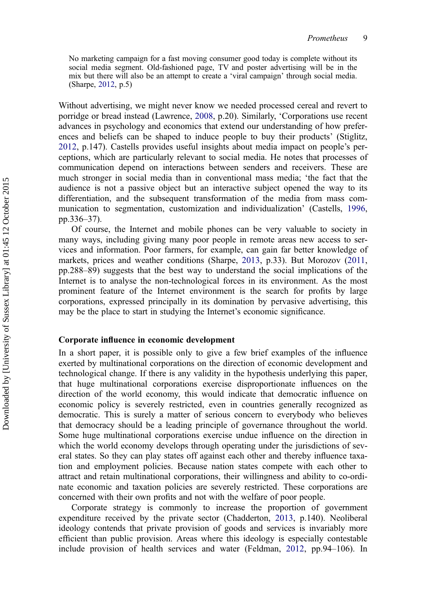No marketing campaign for a fast moving consumer good today is complete without its social media segment. Old-fashioned page, TV and poster advertising will be in the mix but there will also be an attempt to create a 'viral campaign' through social media. (Sharpe, [2012](#page-15-0), p.5)

Without advertising, we might never know we needed processed cereal and revert to porridge or bread instead (Lawrence, [2008](#page-14-0), p.20). Similarly, 'Corporations use recent advances in psychology and economics that extend our understanding of how preferences and beliefs can be shaped to induce people to buy their products' (Stiglitz, [2012,](#page-15-0) p.147). Castells provides useful insights about media impact on people's perceptions, which are particularly relevant to social media. He notes that processes of communication depend on interactions between senders and receivers. These are much stronger in social media than in conventional mass media; 'the fact that the audience is not a passive object but an interactive subject opened the way to its differentiation, and the subsequent transformation of the media from mass communication to segmentation, customization and individualization' (Castells, [1996](#page-14-0), pp.336–37).

Of course, the Internet and mobile phones can be very valuable to society in many ways, including giving many poor people in remote areas new access to services and information. Poor farmers, for example, can gain far better knowledge of markets, prices and weather conditions (Sharpe, [2013,](#page-15-0) p.33). But Morozov [\(2011](#page-15-0), pp.288–89) suggests that the best way to understand the social implications of the Internet is to analyse the non-technological forces in its environment. As the most prominent feature of the Internet environment is the search for profits by large corporations, expressed principally in its domination by pervasive advertising, this may be the place to start in studying the Internet's economic significance.

#### Corporate influence in economic development

In a short paper, it is possible only to give a few brief examples of the influence exerted by multinational corporations on the direction of economic development and technological change. If there is any validity in the hypothesis underlying this paper, that huge multinational corporations exercise disproportionate influences on the direction of the world economy, this would indicate that democratic influence on economic policy is severely restricted, even in countries generally recognized as democratic. This is surely a matter of serious concern to everybody who believes that democracy should be a leading principle of governance throughout the world. Some huge multinational corporations exercise undue influence on the direction in which the world economy develops through operating under the jurisdictions of several states. So they can play states off against each other and thereby influence taxation and employment policies. Because nation states compete with each other to attract and retain multinational corporations, their willingness and ability to co-ordinate economic and taxation policies are severely restricted. These corporations are concerned with their own profits and not with the welfare of poor people.

Corporate strategy is commonly to increase the proportion of government expenditure received by the private sector (Chadderton, [2013](#page-14-0), p.140). Neoliberal ideology contends that private provision of goods and services is invariably more efficient than public provision. Areas where this ideology is especially contestable include provision of health services and water (Feldman, [2012](#page-14-0), pp.94–106). In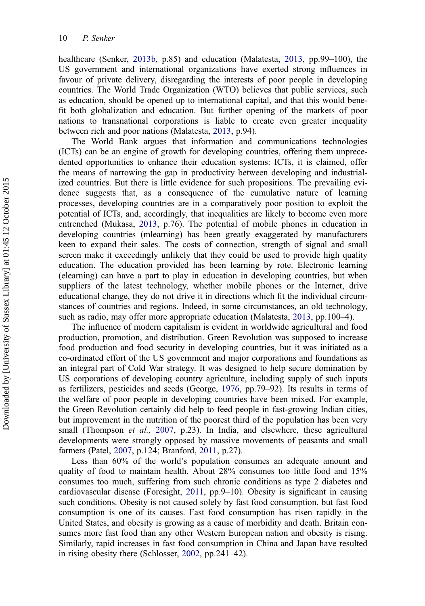healthcare (Senker, [2013b,](#page-15-0) p.85) and education (Malatesta, [2013](#page-14-0), pp.99–100), the US government and international organizations have exerted strong influences in favour of private delivery, disregarding the interests of poor people in developing countries. The World Trade Organization (WTO) believes that public services, such as education, should be opened up to international capital, and that this would benefit both globalization and education. But further opening of the markets of poor nations to transnational corporations is liable to create even greater inequality between rich and poor nations (Malatesta, [2013](#page-14-0), p.94).

The World Bank argues that information and communications technologies (ICTs) can be an engine of growth for developing countries, offering them unprecedented opportunities to enhance their education systems: ICTs, it is claimed, offer the means of narrowing the gap in productivity between developing and industrialized countries. But there is little evidence for such propositions. The prevailing evidence suggests that, as a consequence of the cumulative nature of learning processes, developing countries are in a comparatively poor position to exploit the potential of ICTs, and, accordingly, that inequalities are likely to become even more entrenched (Mukasa, [2013](#page-15-0), p.76). The potential of mobile phones in education in developing countries (mlearning) has been greatly exaggerated by manufacturers keen to expand their sales. The costs of connection, strength of signal and small screen make it exceedingly unlikely that they could be used to provide high quality education. The education provided has been learning by rote. Electronic learning (elearning) can have a part to play in education in developing countries, but when suppliers of the latest technology, whether mobile phones or the Internet, drive educational change, they do not drive it in directions which fit the individual circumstances of countries and regions. Indeed, in some circumstances, an old technology, such as radio, may offer more appropriate education (Malatesta, [2013,](#page-14-0) pp.100–4).

The influence of modern capitalism is evident in worldwide agricultural and food production, promotion, and distribution. Green Revolution was supposed to increase food production and food security in developing countries, but it was initiated as a co-ordinated effort of the US government and major corporations and foundations as an integral part of Cold War strategy. It was designed to help secure domination by US corporations of developing country agriculture, including supply of such inputs as fertilizers, pesticides and seeds (George, [1976](#page-14-0), pp.79–92). Its results in terms of the welfare of poor people in developing countries have been mixed. For example, the Green Revolution certainly did help to feed people in fast-growing Indian cities, but improvement in the nutrition of the poorest third of the population has been very small (Thompson *et al.*, [2007,](#page-15-0) p.23). In India, and elsewhere, these agricultural developments were strongly opposed by massive movements of peasants and small farmers (Patel, [2007](#page-15-0), p.124; Branford, [2011](#page-14-0), p.27).

Less than 60% of the world's population consumes an adequate amount and quality of food to maintain health. About 28% consumes too little food and 15% consumes too much, suffering from such chronic conditions as type 2 diabetes and cardiovascular disease (Foresight, [2011,](#page-14-0) pp.9–10). Obesity is significant in causing such conditions. Obesity is not caused solely by fast food consumption, but fast food consumption is one of its causes. Fast food consumption has risen rapidly in the United States, and obesity is growing as a cause of morbidity and death. Britain consumes more fast food than any other Western European nation and obesity is rising. Similarly, rapid increases in fast food consumption in China and Japan have resulted in rising obesity there (Schlosser, [2002,](#page-15-0) pp.241–42).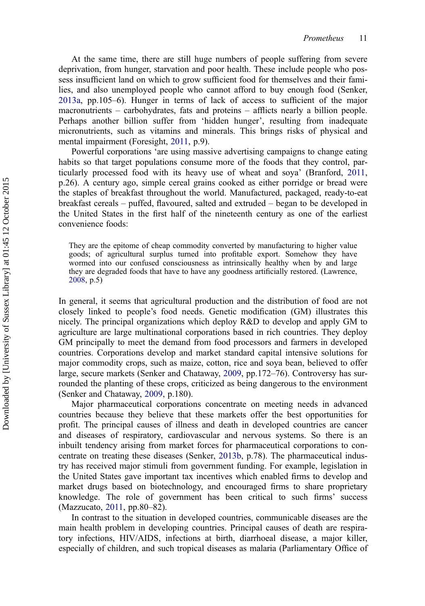At the same time, there are still huge numbers of people suffering from severe deprivation, from hunger, starvation and poor health. These include people who possess insufficient land on which to grow sufficient food for themselves and their families, and also unemployed people who cannot afford to buy enough food (Senker, [2013a](#page-15-0), pp.105–6). Hunger in terms of lack of access to sufficient of the major macronutrients – carbohydrates, fats and proteins – afflicts nearly a billion people. Perhaps another billion suffer from 'hidden hunger', resulting from inadequate micronutrients, such as vitamins and minerals. This brings risks of physical and mental impairment (Foresight, [2011,](#page-14-0) p.9).

Powerful corporations 'are using massive advertising campaigns to change eating habits so that target populations consume more of the foods that they control, particularly processed food with its heavy use of wheat and soya' (Branford, [2011](#page-14-0), p.26). A century ago, simple cereal grains cooked as either porridge or bread were the staples of breakfast throughout the world. Manufactured, packaged, ready-to-eat breakfast cereals – puffed, flavoured, salted and extruded – began to be developed in the United States in the first half of the nineteenth century as one of the earliest convenience foods:

They are the epitome of cheap commodity converted by manufacturing to higher value goods; of agricultural surplus turned into profitable export. Somehow they have wormed into our confused consciousness as intrinsically healthy when by and large they are degraded foods that have to have any goodness artificially restored. (Lawrence, [2008,](#page-14-0) p.5)

In general, it seems that agricultural production and the distribution of food are not closely linked to people's food needs. Genetic modification (GM) illustrates this nicely. The principal organizations which deploy R&D to develop and apply GM to agriculture are large multinational corporations based in rich countries. They deploy GM principally to meet the demand from food processors and farmers in developed countries. Corporations develop and market standard capital intensive solutions for major commodity crops, such as maize, cotton, rice and soya bean, believed to offer large, secure markets (Senker and Chataway, [2009](#page-15-0), pp.172–76). Controversy has surrounded the planting of these crops, criticized as being dangerous to the environment (Senker and Chataway, [2009,](#page-15-0) p.180).

Major pharmaceutical corporations concentrate on meeting needs in advanced countries because they believe that these markets offer the best opportunities for profit. The principal causes of illness and death in developed countries are cancer and diseases of respiratory, cardiovascular and nervous systems. So there is an inbuilt tendency arising from market forces for pharmaceutical corporations to concentrate on treating these diseases (Senker, [2013b](#page-15-0), p.78). The pharmaceutical industry has received major stimuli from government funding. For example, legislation in the United States gave important tax incentives which enabled firms to develop and market drugs based on biotechnology, and encouraged firms to share proprietary knowledge. The role of government has been critical to such firms' success (Mazzucato, [2011](#page-14-0), pp.80–82).

In contrast to the situation in developed countries, communicable diseases are the main health problem in developing countries. Principal causes of death are respiratory infections, HIV/AIDS, infections at birth, diarrhoeal disease, a major killer, especially of children, and such tropical diseases as malaria (Parliamentary Office of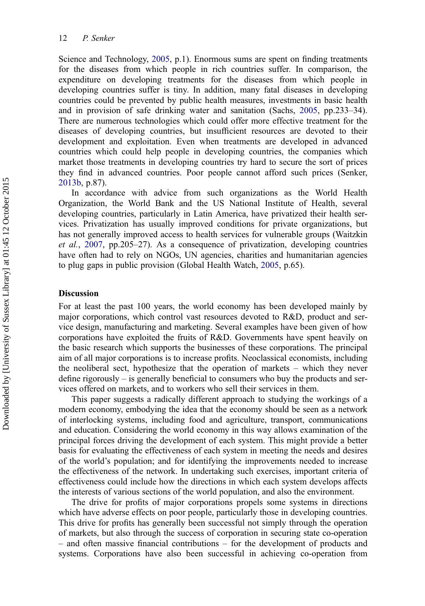Science and Technology, [2005](#page-15-0), p.1). Enormous sums are spent on finding treatments for the diseases from which people in rich countries suffer. In comparison, the expenditure on developing treatments for the diseases from which people in developing countries suffer is tiny. In addition, many fatal diseases in developing countries could be prevented by public health measures, investments in basic health and in provision of safe drinking water and sanitation (Sachs, [2005,](#page-15-0) pp.233–34). There are numerous technologies which could offer more effective treatment for the diseases of developing countries, but insufficient resources are devoted to their development and exploitation. Even when treatments are developed in advanced countries which could help people in developing countries, the companies which market those treatments in developing countries try hard to secure the sort of prices they find in advanced countries. Poor people cannot afford such prices (Senker, [2013b](#page-15-0), p.87).

In accordance with advice from such organizations as the World Health Organization, the World Bank and the US National Institute of Health, several developing countries, particularly in Latin America, have privatized their health services. Privatization has usually improved conditions for private organizations, but has not generally improved access to health services for vulnerable groups (Waitzkin et al., [2007](#page-15-0), pp.205–27). As a consequence of privatization, developing countries have often had to rely on NGOs, UN agencies, charities and humanitarian agencies to plug gaps in public provision (Global Health Watch, [2005,](#page-14-0) p.65).

### **Discussion**

For at least the past 100 years, the world economy has been developed mainly by major corporations, which control vast resources devoted to R&D, product and service design, manufacturing and marketing. Several examples have been given of how corporations have exploited the fruits of R&D. Governments have spent heavily on the basic research which supports the businesses of these corporations. The principal aim of all major corporations is to increase profits. Neoclassical economists, including the neoliberal sect, hypothesize that the operation of markets – which they never define rigorously – is generally beneficial to consumers who buy the products and services offered on markets, and to workers who sell their services in them.

This paper suggests a radically different approach to studying the workings of a modern economy, embodying the idea that the economy should be seen as a network of interlocking systems, including food and agriculture, transport, communications and education. Considering the world economy in this way allows examination of the principal forces driving the development of each system. This might provide a better basis for evaluating the effectiveness of each system in meeting the needs and desires of the world's population; and for identifying the improvements needed to increase the effectiveness of the network. In undertaking such exercises, important criteria of effectiveness could include how the directions in which each system develops affects the interests of various sections of the world population, and also the environment.

The drive for profits of major corporations propels some systems in directions which have adverse effects on poor people, particularly those in developing countries. This drive for profits has generally been successful not simply through the operation of markets, but also through the success of corporation in securing state co-operation – and often massive financial contributions – for the development of products and systems. Corporations have also been successful in achieving co-operation from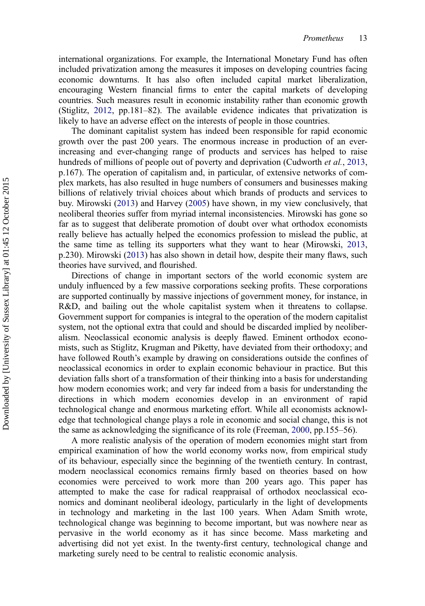international organizations. For example, the International Monetary Fund has often included privatization among the measures it imposes on developing countries facing economic downturns. It has also often included capital market liberalization, encouraging Western financial firms to enter the capital markets of developing countries. Such measures result in economic instability rather than economic growth (Stiglitz, [2012,](#page-15-0) pp.181–82). The available evidence indicates that privatization is likely to have an adverse effect on the interests of people in those countries.

The dominant capitalist system has indeed been responsible for rapid economic growth over the past 200 years. The enormous increase in production of an everincreasing and ever-changing range of products and services has helped to raise hundreds of millions of people out of poverty and deprivation (Cudworth *et al.*, [2013](#page-14-0), p.167). The operation of capitalism and, in particular, of extensive networks of complex markets, has also resulted in huge numbers of consumers and businesses making billions of relatively trivial choices about which brands of products and services to buy. Mirowski ([2013\)](#page-14-0) and Harvey ([2005\)](#page-14-0) have shown, in my view conclusively, that neoliberal theories suffer from myriad internal inconsistencies. Mirowski has gone so far as to suggest that deliberate promotion of doubt over what orthodox economists really believe has actually helped the economics profession to mislead the public, at the same time as telling its supporters what they want to hear (Mirowski, [2013](#page-14-0), p.230). Mirowski [\(2013\)](#page-14-0) has also shown in detail how, despite their many flaws, such theories have survived, and flourished.

Directions of change in important sectors of the world economic system are unduly influenced by a few massive corporations seeking profits. These corporations are supported continually by massive injections of government money, for instance, in R&D, and bailing out the whole capitalist system when it threatens to collapse. Government support for companies is integral to the operation of the modern capitalist system, not the optional extra that could and should be discarded implied by neoliberalism. Neoclassical economic analysis is deeply flawed. Eminent orthodox economists, such as Stiglitz, Krugman and Piketty, have deviated from their orthodoxy; and have followed Routh's example by drawing on considerations outside the confines of neoclassical economics in order to explain economic behaviour in practice. But this deviation falls short of a transformation of their thinking into a basis for understanding how modern economies work; and very far indeed from a basis for understanding the directions in which modern economies develop in an environment of rapid technological change and enormous marketing effort. While all economists acknowledge that technological change plays a role in economic and social change, this is not the same as acknowledging the significance of its role (Freeman, [2000](#page-14-0), pp.155–56).

A more realistic analysis of the operation of modern economies might start from empirical examination of how the world economy works now, from empirical study of its behaviour, especially since the beginning of the twentieth century. In contrast, modern neoclassical economics remains firmly based on theories based on how economies were perceived to work more than 200 years ago. This paper has attempted to make the case for radical reappraisal of orthodox neoclassical economics and dominant neoliberal ideology, particularly in the light of developments in technology and marketing in the last 100 years. When Adam Smith wrote, technological change was beginning to become important, but was nowhere near as pervasive in the world economy as it has since become. Mass marketing and advertising did not yet exist. In the twenty-first century, technological change and marketing surely need to be central to realistic economic analysis.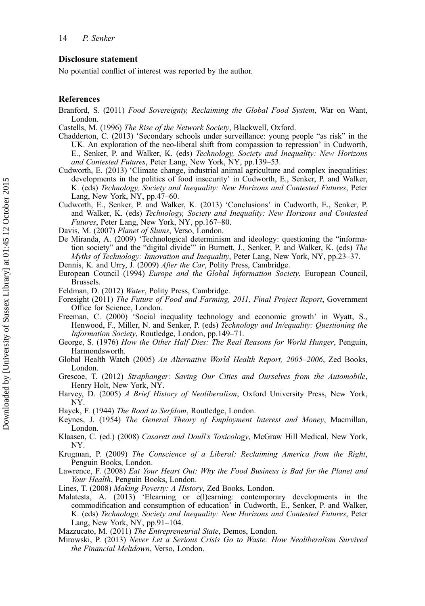#### <span id="page-14-0"></span>Disclosure statement

No potential conflict of interest was reported by the author.

#### References

- Branford, S. (2011) Food Sovereignty, Reclaiming the Global Food System, War on Want, London.
- Castells, M. (1996) The Rise of the Network Society, Blackwell, Oxford.
- Chadderton, C. (2013) 'Secondary schools under surveillance: young people "as risk" in the UK. An exploration of the neo-liberal shift from compassion to repression' in Cudworth, E., Senker, P. and Walker, K. (eds) Technology, Society and Inequality: New Horizons and Contested Futures, Peter Lang, New York, NY, pp.139–53.
- Cudworth, E. (2013) 'Climate change, industrial animal agriculture and complex inequalities: developments in the politics of food insecurity' in Cudworth, E., Senker, P. and Walker, K. (eds) Technology, Society and Inequality: New Horizons and Contested Futures, Peter Lang, New York, NY, pp.47–60.
- Cudworth, E., Senker, P. and Walker, K. (2013) 'Conclusions' in Cudworth, E., Senker, P. and Walker, K. (eds) Technology, Society and Inequality: New Horizons and Contested Futures, Peter Lang, New York, NY, pp.167–80.
- Davis, M. (2007) Planet of Slums, Verso, London.
- De Miranda, A. (2009) 'Technological determinism and ideology: questioning the "information society" and the "digital divide"' in Burnett, J., Senker, P. and Walker, K. (eds) The Myths of Technology: Innovation and Inequality, Peter Lang, New York, NY, pp.23–37.
- Dennis, K. and Urry, J. (2009) After the Car, Polity Press, Cambridge.
- European Council (1994) Europe and the Global Information Society, European Council, Brussels.
- Feldman, D. (2012) Water, Polity Press, Cambridge.
- Foresight (2011) The Future of Food and Farming, 2011, Final Project Report, Government Office for Science, London.
- Freeman, C. (2000) 'Social inequality technology and economic growth' in Wyatt, S., Henwood, F., Miller, N. and Senker, P. (eds) Technology and In/equality: Questioning the Information Society, Routledge, London, pp.149–71.
- George, S. (1976) How the Other Half Dies: The Real Reasons for World Hunger, Penguin, Harmondsworth.
- Global Health Watch (2005) An Alternative World Health Report, 2005–2006, Zed Books, London.
- Grescoe, T. (2012) Straphanger: Saving Our Cities and Ourselves from the Automobile, Henry Holt, New York, NY.
- Harvey, D. (2005) A Brief History of Neoliberalism, Oxford University Press, New York, NY.
- Hayek, F. (1944) The Road to Serfdom, Routledge, London.
- Keynes, J. (1954) The General Theory of Employment Interest and Money, Macmillan, London.
- Klaasen, C. (ed.) (2008) Casarett and Doull's Toxicology, McGraw Hill Medical, New York, NY.
- Krugman, P. (2009) The Conscience of a Liberal: Reclaiming America from the Right, Penguin Books, London.
- Lawrence, F. (2008) Eat Your Heart Out: Why the Food Business is Bad for the Planet and Your Health, Penguin Books, London.
- Lines, T. (2008) Making Poverty: A History, Zed Books, London.
- Malatesta, A. (2013) 'Elearning or e(l)earning: contemporary developments in the commodification and consumption of education' in Cudworth, E., Senker, P. and Walker, K. (eds) Technology, Society and Inequality: New Horizons and Contested Futures, Peter Lang, New York, NY, pp.91–104.

Mazzucato, M. (2011) The Entrepreneurial State, Demos, London.

Mirowski, P. (2013) Never Let a Serious Crisis Go to Waste: How Neoliberalism Survived the Financial Meltdown, Verso, London.